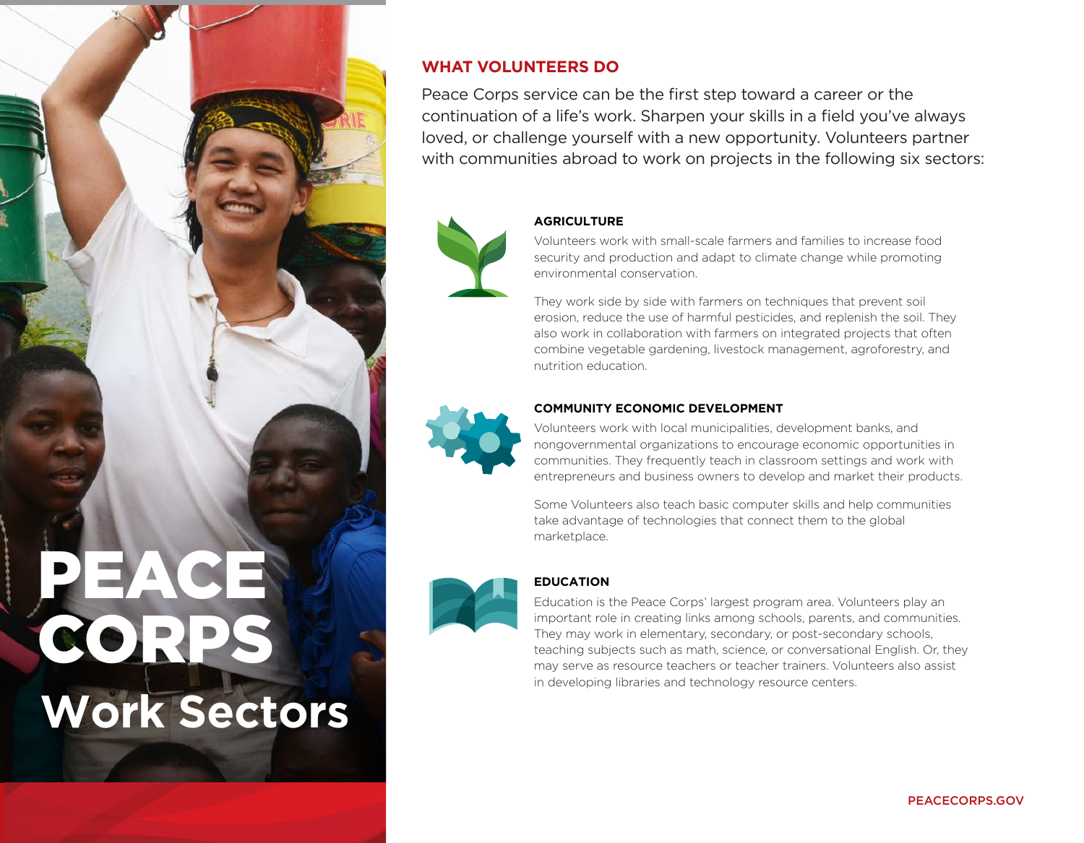

# **WHAT VOLUNTEERS DO**

Peace Corps service can be the first step toward a career or the continuation of a life's work. Sharpen your skills in a field you've always loved, or challenge yourself with a new opportunity. Volunteers partner with communities abroad to work on projects in the following six sectors:



# **AGRICULTURE**

Volunteers work with small-scale farmers and families to increase food security and production and adapt to climate change while promoting environmental conservation.

They work side by side with farmers on techniques that prevent soil erosion, reduce the use of harmful pesticides, and replenish the soil. They also work in collaboration with farmers on integrated projects that often combine vegetable gardening, livestock management, agroforestry, and nutrition education.



### **COMMUNITY ECONOMIC DEVELOPMENT**

Volunteers work with local municipalities, development banks, and nongovernmental organizations to encourage economic opportunities in communities. They frequently teach in classroom settings and work with entrepreneurs and business owners to develop and market their products.

Some Volunteers also teach basic computer skills and help communities take advantage of technologies that connect them to the global marketplace.



### **EDUCATION**

Education is the Peace Corps' largest program area. Volunteers play an important role in creating links among schools, parents, and communities. They may work in elementary, secondary, or post-secondary schools, teaching subjects such as math, science, or conversational English. Or, they may serve as resource teachers or teacher trainers. Volunteers also assist in developing libraries and technology resource centers.